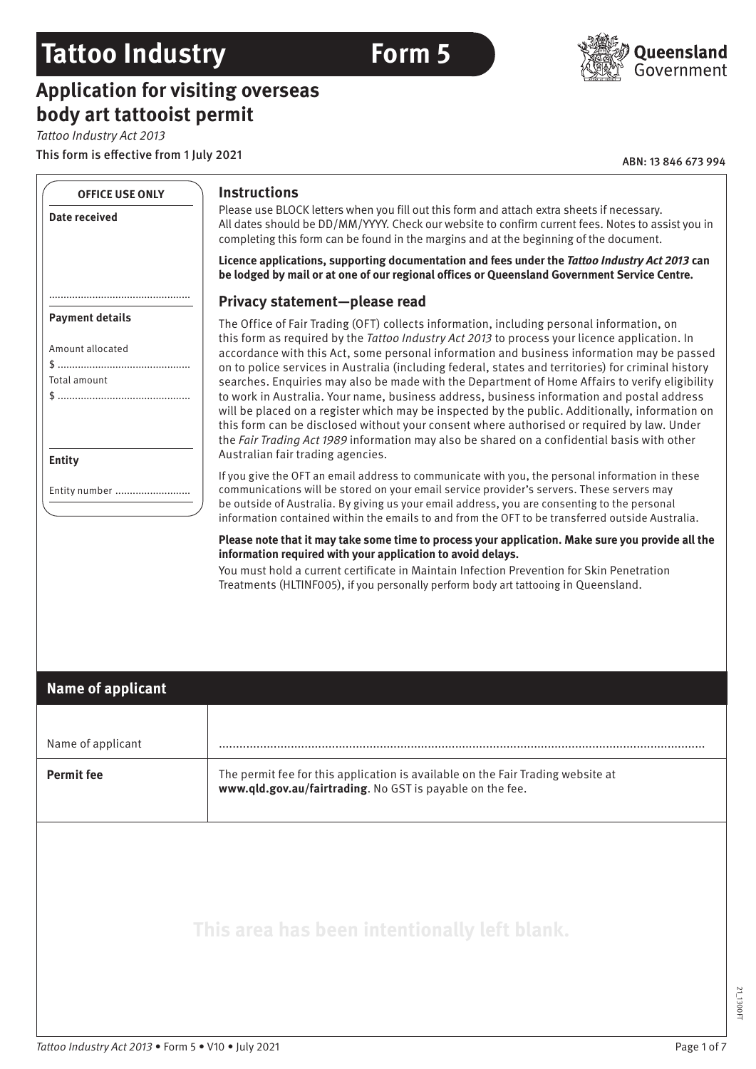# **Tattoo Industry Form 5**

### **Application for visiting overseas body art tattooist permit**

*Tattoo Industry Act 2013*

This form is effective from 1 July 2021

ABN: 13 846 673 994

| <b>OFFICE USE ONLY</b>                                     | <b>Instructions</b>                                                                                                                                                                                                                                                                                                                                                                                                                                                                                                                                                                                                                                                                                                                                                                                                                                                                             |
|------------------------------------------------------------|-------------------------------------------------------------------------------------------------------------------------------------------------------------------------------------------------------------------------------------------------------------------------------------------------------------------------------------------------------------------------------------------------------------------------------------------------------------------------------------------------------------------------------------------------------------------------------------------------------------------------------------------------------------------------------------------------------------------------------------------------------------------------------------------------------------------------------------------------------------------------------------------------|
| <b>Date received</b>                                       | Please use BLOCK letters when you fill out this form and attach extra sheets if necessary.<br>All dates should be DD/MM/YYYY. Check our website to confirm current fees. Notes to assist you in<br>completing this form can be found in the margins and at the beginning of the document.                                                                                                                                                                                                                                                                                                                                                                                                                                                                                                                                                                                                       |
|                                                            | Licence applications, supporting documentation and fees under the Tattoo Industry Act 2013 can<br>be lodged by mail or at one of our regional offices or Queensland Government Service Centre.                                                                                                                                                                                                                                                                                                                                                                                                                                                                                                                                                                                                                                                                                                  |
|                                                            | Privacy statement-please read                                                                                                                                                                                                                                                                                                                                                                                                                                                                                                                                                                                                                                                                                                                                                                                                                                                                   |
| <b>Payment details</b><br>Amount allocated<br>Total amount | The Office of Fair Trading (OFT) collects information, including personal information, on<br>this form as required by the Tattoo Industry Act 2013 to process your licence application. In<br>accordance with this Act, some personal information and business information may be passed<br>on to police services in Australia (including federal, states and territories) for criminal history<br>searches. Enquiries may also be made with the Department of Home Affairs to verify eligibility<br>to work in Australia. Your name, business address, business information and postal address<br>will be placed on a register which may be inspected by the public. Additionally, information on<br>this form can be disclosed without your consent where authorised or required by law. Under<br>the Fair Trading Act 1989 information may also be shared on a confidential basis with other |
| <b>Entity</b>                                              | Australian fair trading agencies.                                                                                                                                                                                                                                                                                                                                                                                                                                                                                                                                                                                                                                                                                                                                                                                                                                                               |
| Entity number                                              | If you give the OFT an email address to communicate with you, the personal information in these<br>communications will be stored on your email service provider's servers. These servers may<br>be outside of Australia. By giving us your email address, you are consenting to the personal<br>information contained within the emails to and from the OFT to be transferred outside Australia.                                                                                                                                                                                                                                                                                                                                                                                                                                                                                                |
|                                                            | information required with your application to avoid delays.<br>You must hold a current certificate in Maintain Infection Prevention for Skin Penetration<br>Treatments (HLTINFOO5), if you personally perform body art tattooing in Queensland.                                                                                                                                                                                                                                                                                                                                                                                                                                                                                                                                                                                                                                                 |
| <b>Name of applicant</b>                                   |                                                                                                                                                                                                                                                                                                                                                                                                                                                                                                                                                                                                                                                                                                                                                                                                                                                                                                 |
|                                                            |                                                                                                                                                                                                                                                                                                                                                                                                                                                                                                                                                                                                                                                                                                                                                                                                                                                                                                 |
| Name of applicant                                          |                                                                                                                                                                                                                                                                                                                                                                                                                                                                                                                                                                                                                                                                                                                                                                                                                                                                                                 |
| <b>Permit fee</b>                                          | The permit fee for this application is available on the Fair Trading website at<br>www.qld.gov.au/fairtrading. No GST is payable on the fee.                                                                                                                                                                                                                                                                                                                                                                                                                                                                                                                                                                                                                                                                                                                                                    |
|                                                            |                                                                                                                                                                                                                                                                                                                                                                                                                                                                                                                                                                                                                                                                                                                                                                                                                                                                                                 |
|                                                            | This area has been intentionally left blank.                                                                                                                                                                                                                                                                                                                                                                                                                                                                                                                                                                                                                                                                                                                                                                                                                                                    |
|                                                            |                                                                                                                                                                                                                                                                                                                                                                                                                                                                                                                                                                                                                                                                                                                                                                                                                                                                                                 |

21\_1300FT

21\_1300FT

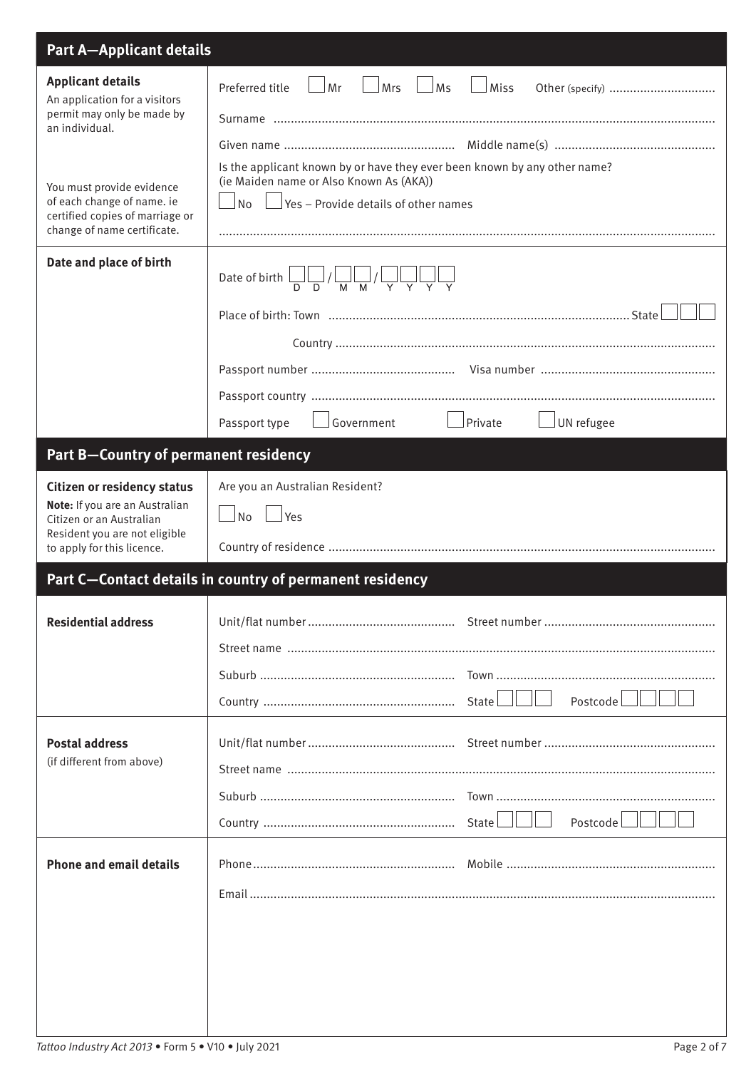| <b>Part A-Applicant details</b>                                                                                                                                                                                                                                   |                                                                                                                                                                                                                                                          |  |
|-------------------------------------------------------------------------------------------------------------------------------------------------------------------------------------------------------------------------------------------------------------------|----------------------------------------------------------------------------------------------------------------------------------------------------------------------------------------------------------------------------------------------------------|--|
| <b>Applicant details</b><br>An application for a visitors<br>permit may only be made by<br>an individual.<br>You must provide evidence<br>of each change of name. ie<br>certified copies of marriage or<br>change of name certificate.<br>Date and place of birth | Mrs<br>$\lfloor$ Ms<br>Preferred title<br>Mr<br>Miss<br>Other (specify)<br>Is the applicant known by or have they ever been known by any other name?<br>(ie Maiden name or Also Known As (AKA))<br>$\Box$ No $\Box$ Yes – Provide details of other names |  |
|                                                                                                                                                                                                                                                                   |                                                                                                                                                                                                                                                          |  |
|                                                                                                                                                                                                                                                                   |                                                                                                                                                                                                                                                          |  |
|                                                                                                                                                                                                                                                                   | $\Box$ Private<br>UN refugee<br>Government<br>Passport type                                                                                                                                                                                              |  |
| <b>Part B-Country of permanent residency</b>                                                                                                                                                                                                                      |                                                                                                                                                                                                                                                          |  |
| <b>Citizen or residency status</b>                                                                                                                                                                                                                                | Are you an Australian Resident?                                                                                                                                                                                                                          |  |
| Note: If you are an Australian<br>Citizen or an Australian                                                                                                                                                                                                        | $\Box$ No $\Box$ Yes                                                                                                                                                                                                                                     |  |
| Resident you are not eligible<br>to apply for this licence.                                                                                                                                                                                                       |                                                                                                                                                                                                                                                          |  |
| Part C-Contact details in country of permanent residency                                                                                                                                                                                                          |                                                                                                                                                                                                                                                          |  |
| <b>Residential address</b>                                                                                                                                                                                                                                        |                                                                                                                                                                                                                                                          |  |
|                                                                                                                                                                                                                                                                   |                                                                                                                                                                                                                                                          |  |
|                                                                                                                                                                                                                                                                   |                                                                                                                                                                                                                                                          |  |
|                                                                                                                                                                                                                                                                   | Postcode<br>State                                                                                                                                                                                                                                        |  |
| <b>Postal address</b><br>(if different from above)                                                                                                                                                                                                                |                                                                                                                                                                                                                                                          |  |
|                                                                                                                                                                                                                                                                   |                                                                                                                                                                                                                                                          |  |
|                                                                                                                                                                                                                                                                   |                                                                                                                                                                                                                                                          |  |
|                                                                                                                                                                                                                                                                   | Postcode<br>State                                                                                                                                                                                                                                        |  |
|                                                                                                                                                                                                                                                                   |                                                                                                                                                                                                                                                          |  |
| <b>Phone and email details</b>                                                                                                                                                                                                                                    |                                                                                                                                                                                                                                                          |  |
|                                                                                                                                                                                                                                                                   |                                                                                                                                                                                                                                                          |  |
|                                                                                                                                                                                                                                                                   |                                                                                                                                                                                                                                                          |  |
|                                                                                                                                                                                                                                                                   |                                                                                                                                                                                                                                                          |  |
|                                                                                                                                                                                                                                                                   |                                                                                                                                                                                                                                                          |  |
|                                                                                                                                                                                                                                                                   |                                                                                                                                                                                                                                                          |  |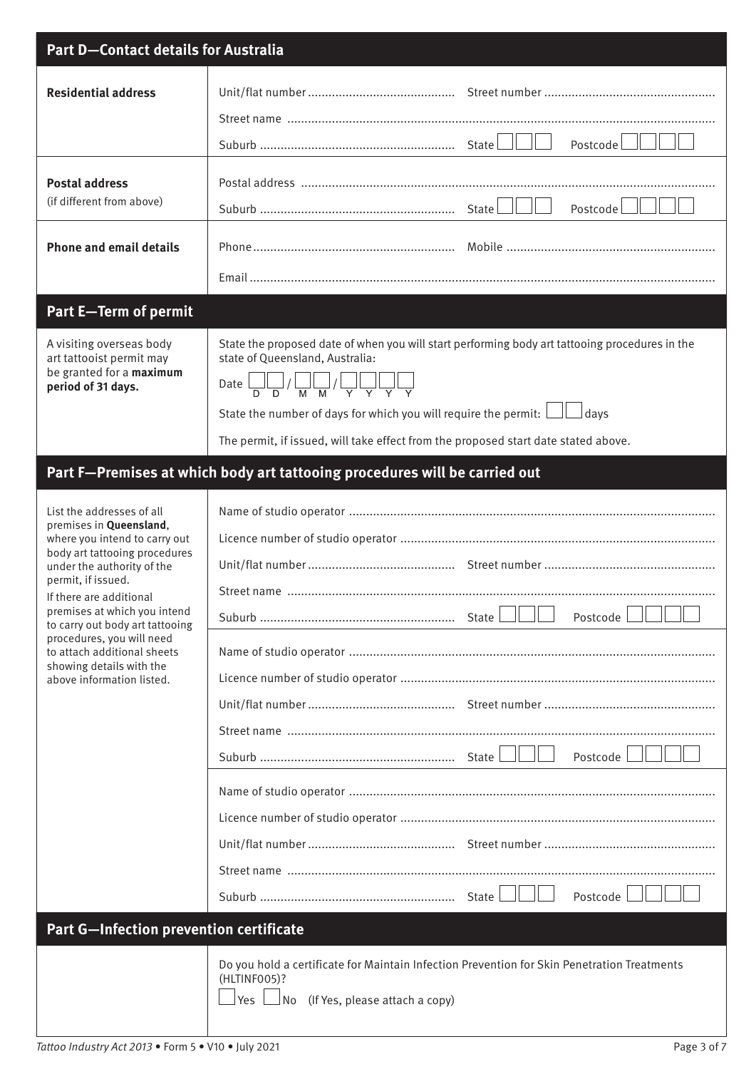| <b>Part D-Contact details for Australia</b>                                                                                                                                                                                                                                                                                                                                                   |                                                                                                                                                                                                                                                         |                      |
|-----------------------------------------------------------------------------------------------------------------------------------------------------------------------------------------------------------------------------------------------------------------------------------------------------------------------------------------------------------------------------------------------|---------------------------------------------------------------------------------------------------------------------------------------------------------------------------------------------------------------------------------------------------------|----------------------|
| <b>Residential address</b>                                                                                                                                                                                                                                                                                                                                                                    |                                                                                                                                                                                                                                                         |                      |
|                                                                                                                                                                                                                                                                                                                                                                                               |                                                                                                                                                                                                                                                         | Postcode $\Box$      |
| <b>Postal address</b><br>(if different from above)                                                                                                                                                                                                                                                                                                                                            |                                                                                                                                                                                                                                                         | Postcode             |
| <b>Phone and email details</b>                                                                                                                                                                                                                                                                                                                                                                |                                                                                                                                                                                                                                                         |                      |
|                                                                                                                                                                                                                                                                                                                                                                                               |                                                                                                                                                                                                                                                         |                      |
| <b>Part E-Term of permit</b>                                                                                                                                                                                                                                                                                                                                                                  |                                                                                                                                                                                                                                                         |                      |
| A visiting overseas body<br>art tattooist permit may<br>be granted for a maximum<br>period of 31 days.                                                                                                                                                                                                                                                                                        | State the proposed date of when you will start performing body art tattooing procedures in the<br>state of Queensland, Australia:<br>Date $\left[\bigcup_{D} \bigcup_{D}/\bigcup_{M} \bigcup_{M}/\bigcup_{\forall} \bigcup_{\forall} \bigcup_{\forall}$ |                      |
|                                                                                                                                                                                                                                                                                                                                                                                               | State the number of days for which you will require the permit: $\Box\Box$ days                                                                                                                                                                         |                      |
|                                                                                                                                                                                                                                                                                                                                                                                               | The permit, if issued, will take effect from the proposed start date stated above.                                                                                                                                                                      |                      |
|                                                                                                                                                                                                                                                                                                                                                                                               | Part F-Premises at which body art tattooing procedures will be carried out                                                                                                                                                                              |                      |
| List the addresses of all<br>premises in Queensland,<br>where you intend to carry out<br>body art tattooing procedures<br>under the authority of the<br>permit, if issued.<br>If there are additional<br>premises at which you intend<br>to carry out body art tattooing<br>procedures, you will need<br>to attach additional sheets<br>showing details with the<br>above information listed. |                                                                                                                                                                                                                                                         | Postcode<br>Postcode |
|                                                                                                                                                                                                                                                                                                                                                                                               |                                                                                                                                                                                                                                                         | Postcode             |
| <b>Part G-Infection prevention certificate</b>                                                                                                                                                                                                                                                                                                                                                |                                                                                                                                                                                                                                                         |                      |
|                                                                                                                                                                                                                                                                                                                                                                                               | Do you hold a certificate for Maintain Infection Prevention for Skin Penetration Treatments<br>(HLTINF005)?<br>∣Yes ∟∣No<br>(If Yes, please attach a copy)                                                                                              |                      |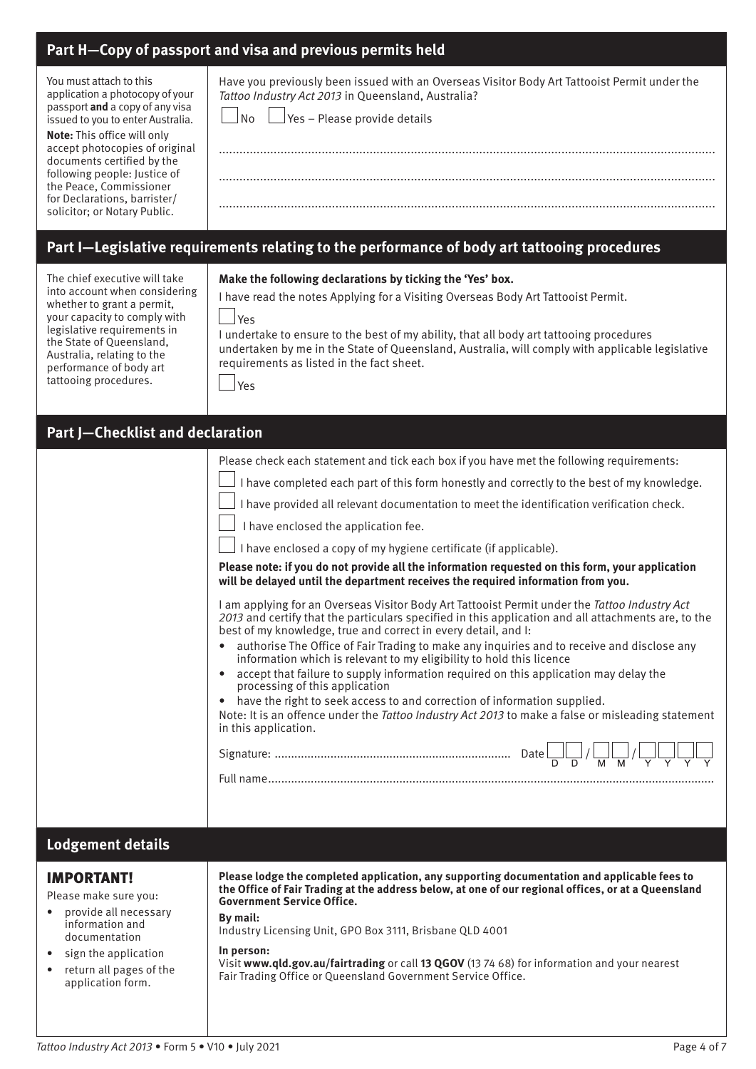| Part H-Copy of passport and visa and previous permits held                                                                                                                                                                                                                                                                                                   |                                                                                                                                                                                                                                                                                                                                                                                                                                                                                                                                                                                                                                                                                                                                                                                                                                                                                                                                                                                                                                                                                                                                                                                                                                                                                                                                                                                                  |  |
|--------------------------------------------------------------------------------------------------------------------------------------------------------------------------------------------------------------------------------------------------------------------------------------------------------------------------------------------------------------|--------------------------------------------------------------------------------------------------------------------------------------------------------------------------------------------------------------------------------------------------------------------------------------------------------------------------------------------------------------------------------------------------------------------------------------------------------------------------------------------------------------------------------------------------------------------------------------------------------------------------------------------------------------------------------------------------------------------------------------------------------------------------------------------------------------------------------------------------------------------------------------------------------------------------------------------------------------------------------------------------------------------------------------------------------------------------------------------------------------------------------------------------------------------------------------------------------------------------------------------------------------------------------------------------------------------------------------------------------------------------------------------------|--|
| You must attach to this<br>application a photocopy of your<br>passport and a copy of any visa<br>issued to you to enter Australia.<br>Note: This office will only<br>accept photocopies of original<br>documents certified by the<br>following people: Justice of<br>the Peace, Commissioner<br>for Declarations, barrister/<br>solicitor; or Notary Public. | Have you previously been issued with an Overseas Visitor Body Art Tattooist Permit under the<br>Tattoo Industry Act 2013 in Queensland, Australia?<br>$\sqrt{2}$ Yes – Please provide details<br>No                                                                                                                                                                                                                                                                                                                                                                                                                                                                                                                                                                                                                                                                                                                                                                                                                                                                                                                                                                                                                                                                                                                                                                                              |  |
|                                                                                                                                                                                                                                                                                                                                                              | Part I-Legislative requirements relating to the performance of body art tattooing procedures                                                                                                                                                                                                                                                                                                                                                                                                                                                                                                                                                                                                                                                                                                                                                                                                                                                                                                                                                                                                                                                                                                                                                                                                                                                                                                     |  |
| The chief executive will take<br>into account when considering<br>whether to grant a permit,<br>your capacity to comply with<br>legislative requirements in<br>the State of Queensland,<br>Australia, relating to the<br>performance of body art<br>tattooing procedures.                                                                                    | Make the following declarations by ticking the 'Yes' box.<br>I have read the notes Applying for a Visiting Overseas Body Art Tattooist Permit.<br>$\vert$ Yes<br>I undertake to ensure to the best of my ability, that all body art tattooing procedures<br>undertaken by me in the State of Queensland, Australia, will comply with applicable legislative<br>requirements as listed in the fact sheet.<br>$\vert$ Yes                                                                                                                                                                                                                                                                                                                                                                                                                                                                                                                                                                                                                                                                                                                                                                                                                                                                                                                                                                          |  |
| <b>Part J-Checklist and declaration</b>                                                                                                                                                                                                                                                                                                                      |                                                                                                                                                                                                                                                                                                                                                                                                                                                                                                                                                                                                                                                                                                                                                                                                                                                                                                                                                                                                                                                                                                                                                                                                                                                                                                                                                                                                  |  |
|                                                                                                                                                                                                                                                                                                                                                              | Please check each statement and tick each box if you have met the following requirements:<br>I have completed each part of this form honestly and correctly to the best of my knowledge.<br>I have provided all relevant documentation to meet the identification verification check.<br>I have enclosed the application fee.<br>I have enclosed a copy of my hygiene certificate (if applicable).<br>Please note: if you do not provide all the information requested on this form, your application<br>will be delayed until the department receives the required information from you.<br>I am applying for an Overseas Visitor Body Art Tattooist Permit under the Tattoo Industry Act<br>2013 and certify that the particulars specified in this application and all attachments are, to the<br>best of my knowledge, true and correct in every detail, and I:<br>authorise The Office of Fair Trading to make any inquiries and to receive and disclose any<br>information which is relevant to my eligibility to hold this licence<br>accept that failure to supply information required on this application may delay the<br>processing of this application<br>have the right to seek access to and correction of information supplied.<br>$\bullet$<br>Note: It is an offence under the Tattoo Industry Act 2013 to make a false or misleading statement<br>in this application.<br>M M |  |
| Lodgement details                                                                                                                                                                                                                                                                                                                                            |                                                                                                                                                                                                                                                                                                                                                                                                                                                                                                                                                                                                                                                                                                                                                                                                                                                                                                                                                                                                                                                                                                                                                                                                                                                                                                                                                                                                  |  |
| <b>IMPORTANT!</b><br>Please make sure you:<br>provide all necessary<br>information and<br>documentation<br>• sign the application                                                                                                                                                                                                                            | Please lodge the completed application, any supporting documentation and applicable fees to<br>the Office of Fair Trading at the address below, at one of our regional offices, or at a Queensland<br><b>Government Service Office.</b><br>By mail:<br>Industry Licensing Unit, GPO Box 3111, Brisbane QLD 4001<br>In person:                                                                                                                                                                                                                                                                                                                                                                                                                                                                                                                                                                                                                                                                                                                                                                                                                                                                                                                                                                                                                                                                    |  |

• sign the application • return all pages of the application form.

Visit **www.qld.gov.au/fairtrading** or call **13 QGOV** (13 74 68) for information and your nearest Fair Trading Office or Queensland Government Service Office.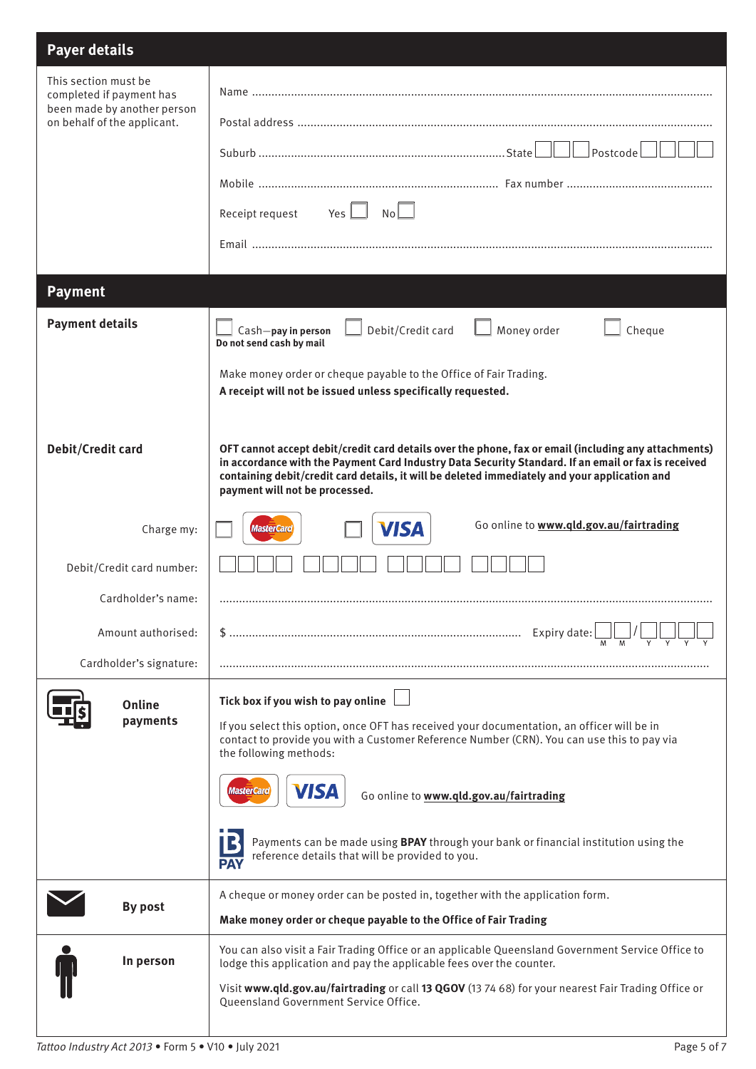| <b>Payer details</b>                                                                                           |                                                                                                                                                                                                                                                                                                                                                                                                                                                                                                  |
|----------------------------------------------------------------------------------------------------------------|--------------------------------------------------------------------------------------------------------------------------------------------------------------------------------------------------------------------------------------------------------------------------------------------------------------------------------------------------------------------------------------------------------------------------------------------------------------------------------------------------|
| This section must be<br>completed if payment has<br>been made by another person<br>on behalf of the applicant. | $\vert$ Postcode $\vert$<br>Yes $\Box$ No $\Box$<br>Receipt request                                                                                                                                                                                                                                                                                                                                                                                                                              |
| <b>Payment</b>                                                                                                 |                                                                                                                                                                                                                                                                                                                                                                                                                                                                                                  |
| <b>Payment details</b>                                                                                         | Debit/Credit card<br>Money order<br>Cheque<br>Cash-pay in person<br>Do not send cash by mail<br>Make money order or cheque payable to the Office of Fair Trading.<br>A receipt will not be issued unless specifically requested.                                                                                                                                                                                                                                                                 |
| Debit/Credit card                                                                                              | OFT cannot accept debit/credit card details over the phone, fax or email (including any attachments)<br>in accordance with the Payment Card Industry Data Security Standard. If an email or fax is received<br>containing debit/credit card details, it will be deleted immediately and your application and<br>payment will not be processed.                                                                                                                                                   |
| Charge my:                                                                                                     | Go online to www.qld.gov.au/fairtrading<br><b>VISA</b><br><b>MasterCard</b>                                                                                                                                                                                                                                                                                                                                                                                                                      |
| Debit/Credit card number:                                                                                      |                                                                                                                                                                                                                                                                                                                                                                                                                                                                                                  |
| Cardholder's name:                                                                                             |                                                                                                                                                                                                                                                                                                                                                                                                                                                                                                  |
| Amount authorised:<br>Cardholder's signature:                                                                  | Expiry date:                                                                                                                                                                                                                                                                                                                                                                                                                                                                                     |
| Online<br>payments                                                                                             | Tick box if you wish to pay online<br>If you select this option, once OFT has received your documentation, an officer will be in<br>contact to provide you with a Customer Reference Number (CRN). You can use this to pay via<br>the following methods:<br><b>VISA</b><br><b>MasterCard</b><br>Go online to www.qld.gov.au/fairtrading<br>Payments can be made using BPAY through your bank or financial institution using the<br>reference details that will be provided to you.<br><b>PAY</b> |
| <b>By post</b>                                                                                                 | A cheque or money order can be posted in, together with the application form.<br>Make money order or cheque payable to the Office of Fair Trading                                                                                                                                                                                                                                                                                                                                                |
| In person                                                                                                      | You can also visit a Fair Trading Office or an applicable Queensland Government Service Office to<br>lodge this application and pay the applicable fees over the counter.<br>Visit www.qld.gov.au/fairtrading or call 13 QGOV (13 74 68) for your nearest Fair Trading Office or<br>Queensland Government Service Office.                                                                                                                                                                        |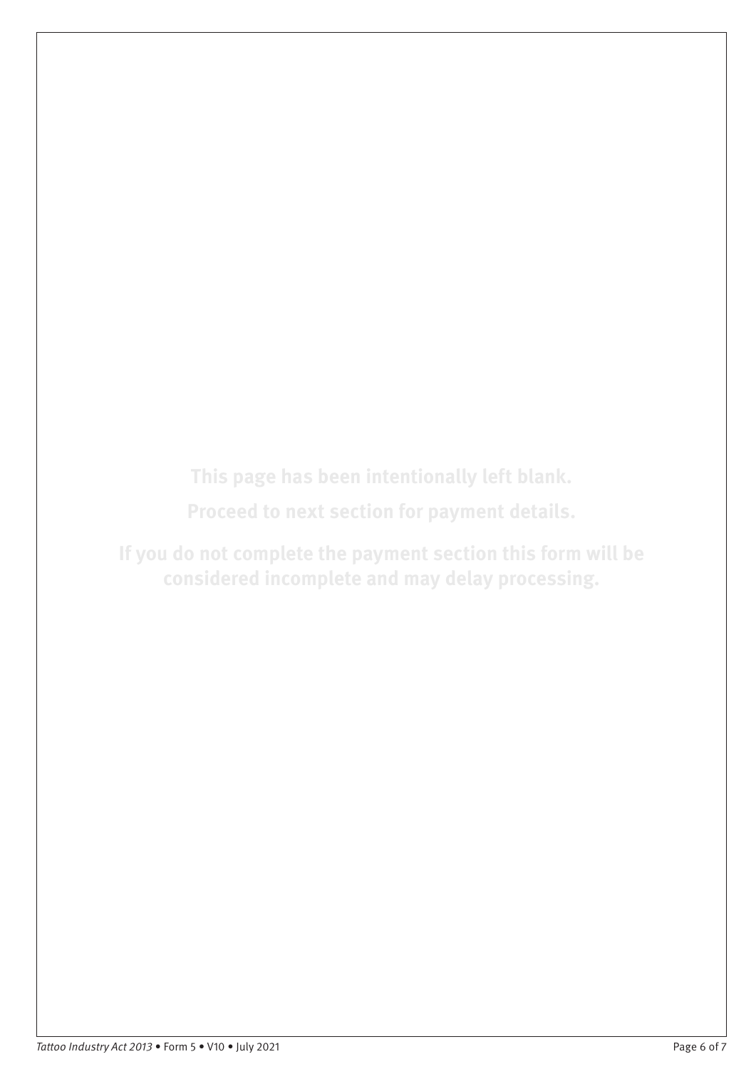**This page has been intentionally left blank.**

**Proceed to next section for payment details.**

**If you do not complete the payment section this form will be considered incomplete and may delay processing.**